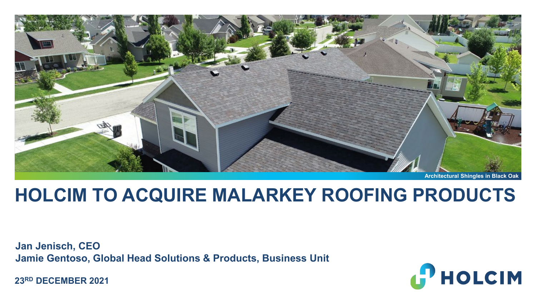

**Architectural Shingles in Black Oak**

# **HOLCIM TO ACQUIRE MALARKEY ROOFING PRODUCTS**

**Jan Jenisch, CEO Jamie Gentoso, Global Head Solutions & Products, Business Unit** 

**23RD DECEMBER 2021**

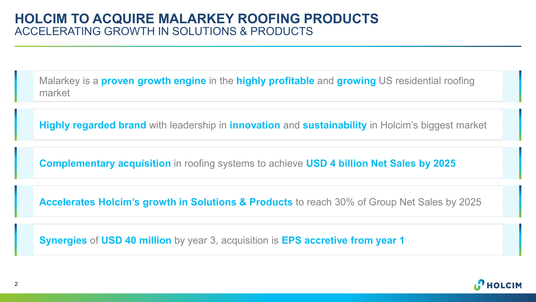Malarkey is a **proven growth engine** in the **highly profitable** and **growing** US residential roofing market

**Highly regarded brand** with leadership in **innovation** and **sustainability** in Holcim's biggest market

**Complementary acquisition** in roofing systems to achieve **USD 4 billion Net Sales by 2025**

**Accelerates Holcim's growth in Solutions & Products** to reach 30% of Group Net Sales by 2025

**Synergies** of **USD 40 million** by year 3, acquisition is **EPS accretive from year 1**

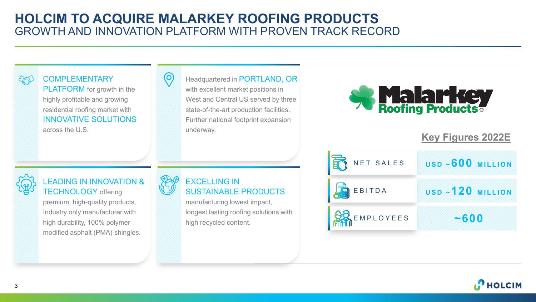# **HOLCIM TO ACQUIRE MALARKEY ROOFING PRODUCTS**  GROWTH AND INNOVATION PLATFORM WITH PROVEN TRACK RECORD



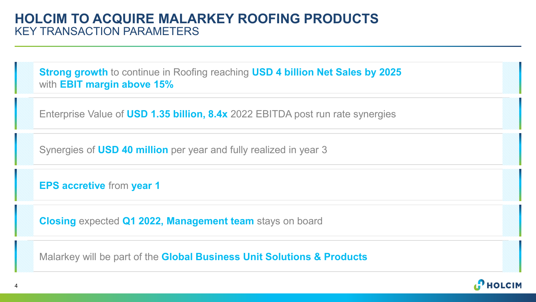# **HOLCIM TO ACQUIRE MALARKEY ROOFING PRODUCTS** KEY TRANSACTION PARAMETERS

**Strong growth** to continue in Roofing reaching **USD 4 billion Net Sales by 2025** with **EBIT margin above 15%**

Enterprise Value of **USD 1.35 billion, 8.4x** 2022 EBITDA post run rate synergies

Synergies of **USD 40 million** per year and fully realized in year 3

**EPS accretive** from **year 1**

**Closing** expected **Q1 2022, Management team** stays on board

Malarkey will be part of the **Global Business Unit Solutions & Products**

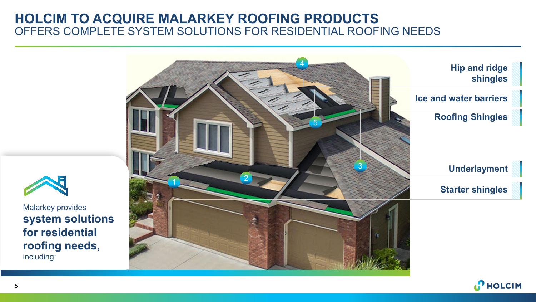# **HOLCIM TO ACQUIRE MALARKEY ROOFING PRODUCTS** OFFERS COMPLETE SYSTEM SOLUTIONS FOR RESIDENTIAL ROOFING NEEDS





Malarkey provides **system solutions for residential roofing needs,**  including:

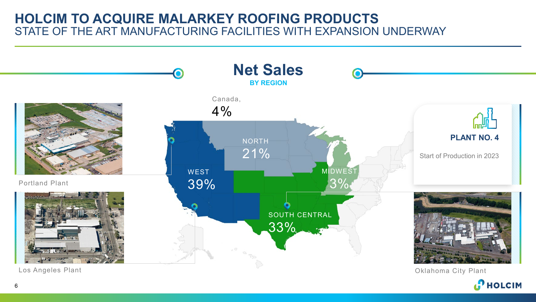# **HOLCIM TO ACQUIRE MALARKEY ROOFING PRODUCTS** STATE OF THE ART MANUFACTURING FACILITIES WITH EXPANSION UNDERWAY



Los Angeles Plant

Oklahoma City Plant**P** HOLCIM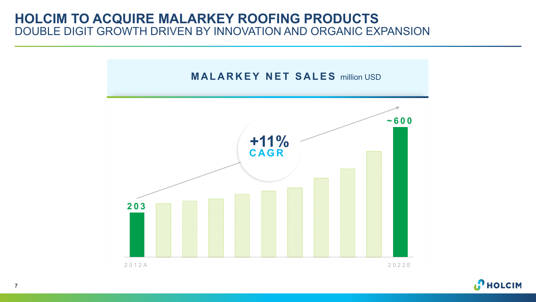# **HOLCIM TO ACQUIRE MALARKEY ROOFING PRODUCTS** DOUBLE DIGIT GROWTH DRIVEN BY INNOVATION AND ORGANIC EXPANSION





7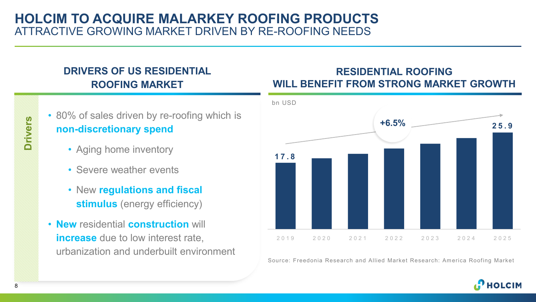# **HOLCIM TO ACQUIRE MALARKEY ROOFING PRODUCTS** ATTRACTIVE GROWING MARKET DRIVEN BY RE-ROOFING NEEDS

# **DRIVERS OF US RESIDENTIAL ROOFING MARKET**

# **Drivers**

## • 80% of sales driven by re-roofing which is **non-discretionary spend**

- Aging home inventory
- Severe weather events
- New **regulations and fiscal stimulus** (energy efficiency)
- **New** residential **construction** will **increase** due to low interest rate, urbanization and underbuilt environment

### **RESIDENTIAL ROOFING WILL BENEFIT FROM STRONG MARKET GROWTH**



Source: Freedonia Research and Allied Market Research: America Roofing Market

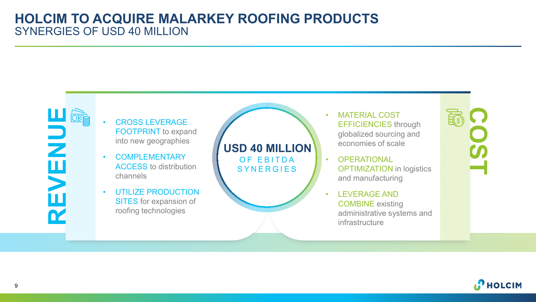# **HOLCIM TO ACQUIRE MALARKEY ROOFING PRODUCTS** SYNERGIES OF USD 40 MILLION



#### • CROSS LEVERAGE FOOTPRINT to expand into new geographies

- COMPLEMENTARY ACCESS to distribution channels
- UTILIZE PRODUCTION SITES for expansion of roofing technologies

### **USD 40 MILLION** OF EBITDA **SYNERGIES**

• MATERIAL COST EFFICIENCIES through globalized sourcing and economies of scale

- **OPERATIONAL** OPTIMIZATION in logistics and manufacturing
- LEVERAGE AND COMBINE existing administrative systems and infrastructure



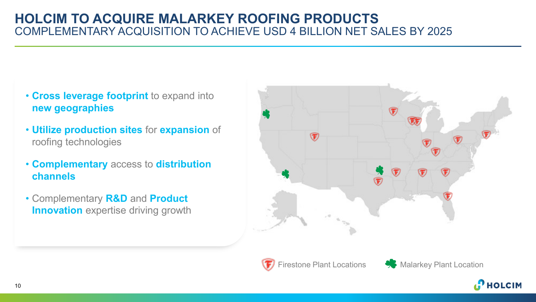# **HOLCIM TO ACQUIRE MALARKEY ROOFING PRODUCTS** COMPLEMENTARY ACQUISITION TO ACHIEVE USD 4 BILLION NET SALES BY 2025

- **Cross leverage footprint** to expand into **new geographies**
- **Utilize production sites** for **expansion** of roofing technologies
- **Complementary** access to **distribution channels**
- Complementary **R&D** and **Product Innovation** expertise driving growth





Firestone Plant Locations **Comparently** Malarkey Plant Location

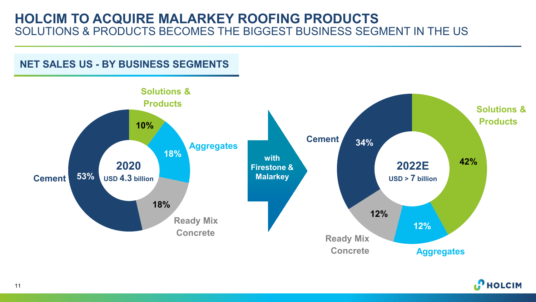# **HOLCIM TO ACQUIRE MALARKEY ROOFING PRODUCTS** SOLUTIONS & PRODUCTS BECOMES THE BIGGEST BUSINESS SEGMENT IN THE US





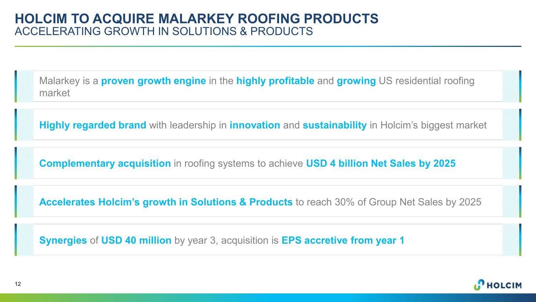Malarkey is a **proven growth engine** in the **highly profitable** and **growing** US residential roofing market

**Highly regarded brand** with leadership in **innovation** and **sustainability** in Holcim's biggest market

**Complementary acquisition** in roofing systems to achieve **USD 4 billion Net Sales by 2025**

**Accelerates Holcim's growth in Solutions & Products** to reach 30% of Group Net Sales by 2025

**Synergies** of **USD 40 million** by year 3, acquisition is **EPS accretive from year 1**